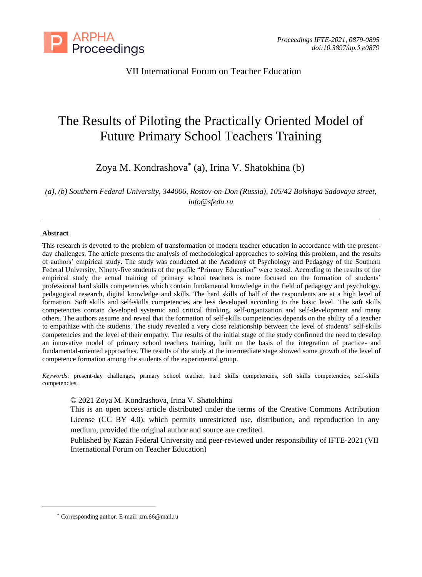

VII International Forum on Teacher Education

# The Results of Piloting the Practically Oriented Model of Future Primary School Teachers Training

Zoya M. Kondrashova\* (a), Irina V. Shatokhina (b)

*(a), (b) Southern Federal University, 344006, Rostov-on-Don (Russia), 105/42 Bolshaya Sadovaya street, info@sfedu.ru*

#### **Abstract**

This research is devoted to the problem of transformation of modern teacher education in accordance with the presentday challenges. The article presents the analysis of methodological approaches to solving this problem, and the results of authors' empirical study. The study was conducted at the Academy of Psychology and Pedagogy of the Southern Federal University. Ninety-five students of the profile "Primary Education" were tested. According to the results of the empirical study the actual training of primary school teachers is more focused on the formation of students' professional hard skills competencies which contain fundamental knowledge in the field of pedagogy and psychology, pedagogical research, digital knowledge and skills. The hard skills of half of the respondents are at a high level of formation. Soft skills and self-skills competencies are less developed according to the basic level. The soft skills competencies contain developed systemic and critical thinking, self-organization and self-development and many others. The authors assume and reveal that the formation of self-skills competencies depends on the ability of a teacher to empathize with the students. The study revealed a very close relationship between the level of students' self-skills competencies and the level of their empathy. The results of the initial stage of the study confirmed the need to develop an innovative model of primary school teachers training, built on the basis of the integration of practice- and fundamental-oriented approaches. The results of the study at the intermediate stage showed some growth of the level of competence formation among the students of the experimental group.

*Keywords*: present-day challenges, primary school teacher, hard skills competencies, soft skills competencies, self-skills competencies.

© 2021 Zoya M. Kondrashova, Irina V. Shatokhina

This is an open access article distributed under the terms of the Creative Commons Attribution License (CC BY 4.0), which permits unrestricted use, distribution, and reproduction in any medium, provided the original author and source are credited.

Published by Kazan Federal University and peer-reviewed under responsibility of IFTE-2021 (VII International Forum on Teacher Education)

<sup>\*</sup> Corresponding author. E-mail: zm.66@mail.ru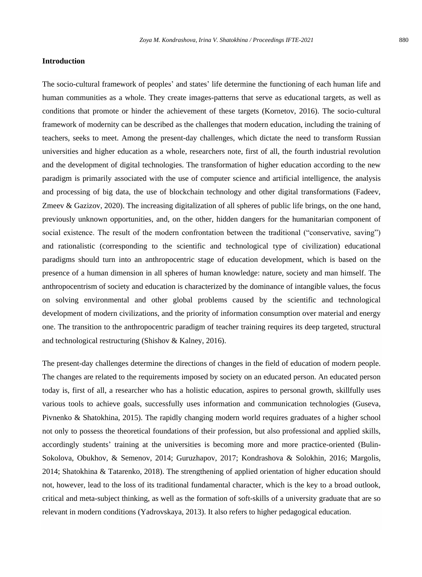#### **Introduction**

The socio-cultural framework of peoples' and states' life determine the functioning of each human life and human communities as a whole. They create images-patterns that serve as educational targets, as well as conditions that promote or hinder the achievement of these targets (Kornetov, 2016). The socio-cultural framework of modernity can be described as the challenges that modern education, including the training of teachers, seeks to meet. Among the present-day challenges, which dictate the need to transform Russian universities and higher education as a whole, researchers note, first of all, the fourth industrial revolution and the development of digital technologies. The transformation of higher education according to the new paradigm is primarily associated with the use of computer science and artificial intelligence, the analysis and processing of big data, the use of blockchain technology and other digital transformations (Fadeev, Zmeev & Gazizov, 2020). The increasing digitalization of all spheres of public life brings, on the one hand, previously unknown opportunities, and, on the other, hidden dangers for the humanitarian component of social existence. The result of the modern confrontation between the traditional ("conservative, saving") and rationalistic (corresponding to the scientific and technological type of civilization) educational paradigms should turn into an anthropocentric stage of education development, which is based on the presence of a human dimension in all spheres of human knowledge: nature, society and man himself. The anthropocentrism of society and education is characterized by the dominance of intangible values, the focus on solving environmental and other global problems caused by the scientific and technological development of modern civilizations, and the priority of information consumption over material and energy one. The transition to the anthropocentric paradigm of teacher training requires its deep targeted, structural and technological restructuring (Shishov & Kalney, 2016).

The present-day challenges determine the directions of changes in the field of education of modern people. The changes are related to the requirements imposed by society on an educated person. An educated person today is, first of all, a researcher who has a holistic education, aspires to personal growth, skillfully uses various tools to achieve goals, successfully uses information and communication technologies (Guseva, Pivnenko & Shatokhina, 2015). The rapidly changing modern world requires graduates of a higher school not only to possess the theoretical foundations of their profession, but also professional and applied skills, accordingly students' training at the universities is becoming more and more practice-oriented (Bulin-Sokolova, Obukhov, & Semenov, 2014; Guruzhapov, 2017; Kondrashova & Solokhin, 2016; Margolis, 2014; Shatokhina & Tatarenko, 2018). The strengthening of applied orientation of higher education should not, however, lead to the loss of its traditional fundamental character, which is the key to a broad outlook, critical and meta-subject thinking, as well as the formation of soft-skills of a university graduate that are so relevant in modern conditions (Yadrovskaya, 2013). It also refers to higher pedagogical education.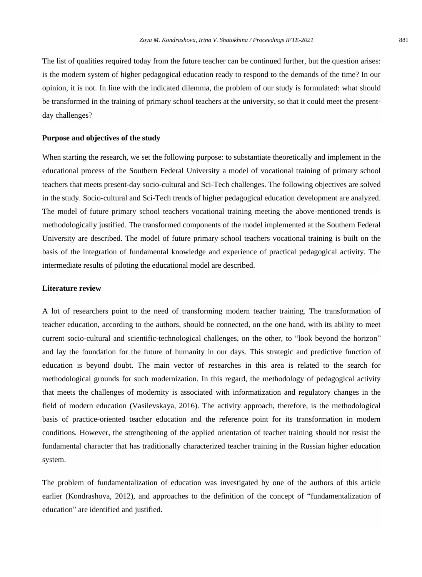The list of qualities required today from the future teacher can be continued further, but the question arises: is the modern system of higher pedagogical education ready to respond to the demands of the time? In our opinion, it is not. In line with the indicated dilemma, the problem of our study is formulated: what should be transformed in the training of primary school teachers at the university, so that it could meet the presentday challenges?

#### **Purpose and objectives of the study**

When starting the research, we set the following purpose: to substantiate theoretically and implement in the educational process of the Southern Federal University a model of vocational training of primary school teachers that meets present-day socio-cultural and Sci-Tech challenges. The following objectives are solved in the study. Socio-cultural and Sci-Tech trends of higher pedagogical education development are analyzed. The model of future primary school teachers vocational training meeting the above-mentioned trends is methodologically justified. The transformed components of the model implemented at the Southern Federal University are described. The model of future primary school teachers vocational training is built on the basis of the integration of fundamental knowledge and experience of practical pedagogical activity. The intermediate results of piloting the educational model are described.

# **Literature review**

A lot of researchers point to the need of transforming modern teacher training. The transformation of teacher education, according to the authors, should be connected, on the one hand, with its ability to meet current socio-cultural and scientific-technological challenges, on the other, to "look beyond the horizon" and lay the foundation for the future of humanity in our days. This strategic and predictive function of education is beyond doubt. The main vector of researches in this area is related to the search for methodological grounds for such modernization. In this regard, the methodology of pedagogical activity that meets the challenges of modernity is associated with informatization and regulatory changes in the field of modern education (Vasilevskaya, 2016). The activity approach, therefore, is the methodological basis of practice-oriented teacher education and the reference point for its transformation in modern conditions. However, the strengthening of the applied orientation of teacher training should not resist the fundamental character that has traditionally characterized teacher training in the Russian higher education system.

The problem of fundamentalization of education was investigated by one of the authors of this article earlier (Kondrashova, 2012), and approaches to the definition of the concept of "fundamentalization of education" are identified and justified.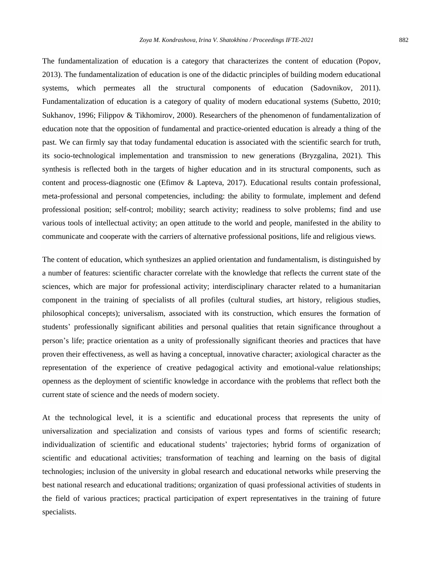The fundamentalization of education is a category that characterizes the content of education (Popov, 2013). The fundamentalization of education is one of the didactic principles of building modern educational systems, which permeates all the structural components of education (Sadovnikov, 2011). Fundamentalization of education is a category of quality of modern educational systems (Subetto, 2010; Sukhanov, 1996; Filippov & Tikhomirov, 2000). Researchers of the phenomenon of fundamentalization of education note that the opposition of fundamental and practice-oriented education is already a thing of the past. We can firmly say that today fundamental education is associated with the scientific search for truth, its socio-technological implementation and transmission to new generations (Bryzgalina, 2021). This synthesis is reflected both in the targets of higher education and in its structural components, such as content and process-diagnostic one (Efimov & Lapteva, 2017). Educational results contain professional, meta-professional and personal competencies, including: the ability to formulate, implement and defend professional position; self-control; mobility; search activity; readiness to solve problems; find and use various tools of intellectual activity; an open attitude to the world and people, manifested in the ability to communicate and cooperate with the carriers of alternative professional positions, life and religious views.

The content of education, which synthesizes an applied orientation and fundamentalism, is distinguished by a number of features: scientific character correlate with the knowledge that reflects the current state of the sciences, which are major for professional activity; interdisciplinary character related to a humanitarian component in the training of specialists of all profiles (cultural studies, art history, religious studies, philosophical concepts); universalism, associated with its construction, which ensures the formation of students' professionally significant abilities and personal qualities that retain significance throughout a person's life; practice orientation as a unity of professionally significant theories and practices that have proven their effectiveness, as well as having a conceptual, innovative character; axiological character as the representation of the experience of creative pedagogical activity and emotional-value relationships; openness as the deployment of scientific knowledge in accordance with the problems that reflect both the current state of science and the needs of modern society.

At the technological level, it is a scientific and educational process that represents the unity of universalization and specialization and consists of various types and forms of scientific research; individualization of scientific and educational students' trajectories; hybrid forms of organization of scientific and educational activities; transformation of teaching and learning on the basis of digital technologies; inclusion of the university in global research and educational networks while preserving the best national research and educational traditions; organization of quasi professional activities of students in the field of various practices; practical participation of expert representatives in the training of future specialists.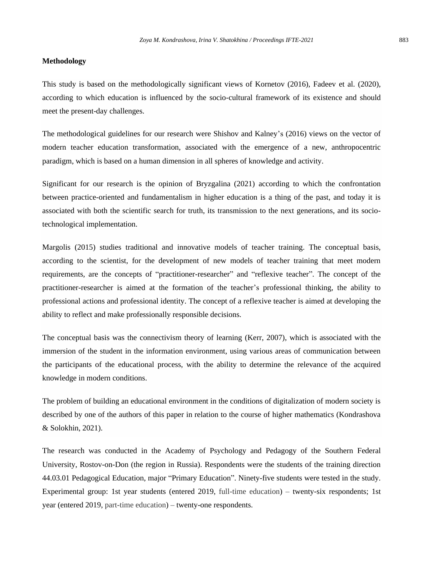#### **Methodology**

This study is based on the methodologically significant views of Kornetov (2016), Fadeev et al. (2020), according to which education is influenced by the socio-cultural framework of its existence and should meet the present-day challenges.

The methodological guidelines for our research were Shishov and Kalney's (2016) views on the vector of modern teacher education transformation, associated with the emergence of a new, anthropocentric paradigm, which is based on a human dimension in all spheres of knowledge and activity.

Significant for our research is the opinion of Bryzgalina (2021) according to which the confrontation between practice-oriented and fundamentalism in higher education is a thing of the past, and today it is associated with both the scientific search for truth, its transmission to the next generations, and its sociotechnological implementation.

Margolis (2015) studies traditional and innovative models of teacher training. The conceptual basis, according to the scientist, for the development of new models of teacher training that meet modern requirements, are the concepts of "practitioner-researcher" and "reflexive teacher". The concept of the practitioner-researcher is aimed at the formation of the teacher's professional thinking, the ability to professional actions and professional identity. The concept of a reflexive teacher is aimed at developing the ability to reflect and make professionally responsible decisions.

The conceptual basis was the connectivism theory of learning (Kerr, 2007), which is associated with the immersion of the student in the information environment, using various areas of communication between the participants of the educational process, with the ability to determine the relevance of the acquired knowledge in modern conditions.

The problem of building an educational environment in the conditions of digitalization of modern society is described by one of the authors of this paper in relation to the course of higher mathematics (Kondrashova & Solokhin, 2021).

The research was conducted in the Academy of Psychology and Pedagogy of the Southern Federal University, Rostov-on-Don (the region in Russia). Respondents were the students of the training direction 44.03.01 Pedagogical Education, major "Primary Education". Ninety-five students were tested in the study. Experimental group: 1st year students (entered 2019, full-time education) – twenty-six respondents; 1st year (entered 2019, part-time education) – twenty-one respondents.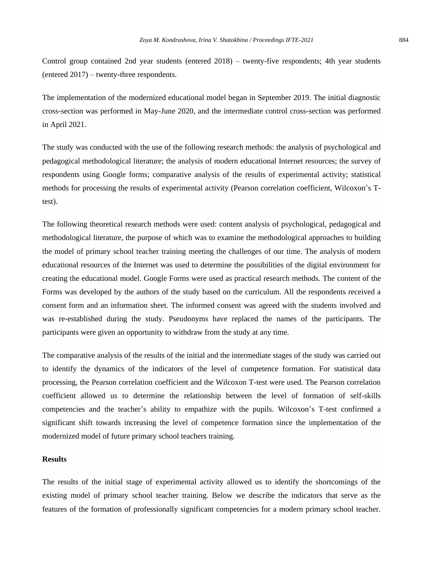Control group contained 2nd year students (entered 2018) – twenty-five respondents; 4th year students (entered 2017) – twenty-three respondents.

The implementation of the modernized educational model began in September 2019. The initial diagnostic cross-section was performed in May-June 2020, and the intermediate control cross-section was performed in April 2021.

The study was conducted with the use of the following research methods: the analysis of psychological and pedagogical methodological literature; the analysis of modern educational Internet resources; the survey of respondents using Google forms; comparative analysis of the results of experimental activity; statistical methods for processing the results of experimental activity (Pearson correlation coefficient, Wilcoxon's Ttest).

The following theoretical research methods were used: content analysis of psychological, pedagogical and methodological literature, the purpose of which was to examine the methodological approaches to building the model of primary school teacher training meeting the challenges of our time. The analysis of modern educational resources of the Internet was used to determine the possibilities of the digital environment for creating the educational model. Google Forms were used as practical research methods. The content of the Forms was developed by the authors of the study based on the curriculum. All the respondents received a consent form and an information sheet. The informed consent was agreed with the students involved and was re-established during the study. Pseudonyms have replaced the names of the participants. The participants were given an opportunity to withdraw from the study at any time.

The comparative analysis of the results of the initial and the intermediate stages of the study was carried out to identify the dynamics of the indicators of the level of competence formation. For statistical data processing, the Pearson correlation coefficient and the Wilcoxon T-test were used. The Pearson correlation coefficient allowed us to determine the relationship between the level of formation of self-skills competencies and the teacher's ability to empathize with the pupils. Wilcoxon's T-test confirmed a significant shift towards increasing the level of competence formation since the implementation of the modernized model of future primary school teachers training.

# **Results**

The results of the initial stage of experimental activity allowed us to identify the shortcomings of the existing model of primary school teacher training. Below we describe the indicators that serve as the features of the formation of professionally significant competencies for a modern primary school teacher.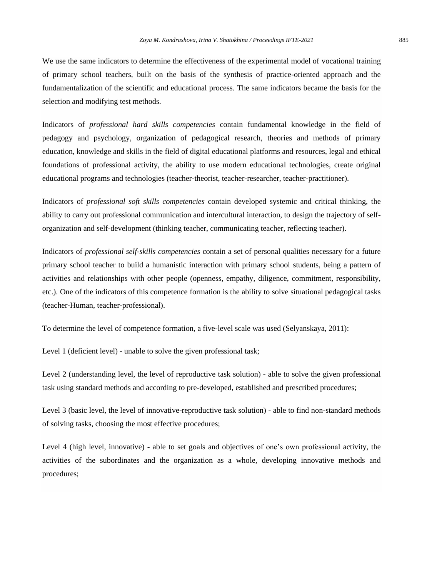We use the same indicators to determine the effectiveness of the experimental model of vocational training of primary school teachers, built on the basis of the synthesis of practice-oriented approach and the fundamentalization of the scientific and educational process. The same indicators became the basis for the selection and modifying test methods.

Indicators of *professional hard skills competencies* contain fundamental knowledge in the field of pedagogy and psychology, organization of pedagogical research, theories and methods of primary education, knowledge and skills in the field of digital educational platforms and resources, legal and ethical foundations of professional activity, the ability to use modern educational technologies, create original educational programs and technologies (teacher-theorist, teacher-researcher, teacher-practitioner).

Indicators of *professional soft skills competencies* contain developed systemic and critical thinking, the ability to carry out professional communication and intercultural interaction, to design the trajectory of selforganization and self-development (thinking teacher, communicating teacher, reflecting teacher).

Indicators of *professional self-skills competencies* contain a set of personal qualities necessary for a future primary school teacher to build a humanistic interaction with primary school students, being a pattern of activities and relationships with other people (openness, empathy, diligence, commitment, responsibility, etc.). One of the indicators of this competence formation is the ability to solve situational pedagogical tasks (teacher-Human, teacher-professional).

To determine the level of competence formation, a five-level scale was used (Selyanskaya, 2011):

Level 1 (deficient level) - unable to solve the given professional task;

Level 2 (understanding level, the level of reproductive task solution) - able to solve the given professional task using standard methods and according to pre-developed, established and prescribed procedures;

Level 3 (basic level, the level of innovative-reproductive task solution) - able to find non-standard methods of solving tasks, choosing the most effective procedures;

Level 4 (high level, innovative) - able to set goals and objectives of one's own professional activity, the activities of the subordinates and the organization as a whole, developing innovative methods and procedures;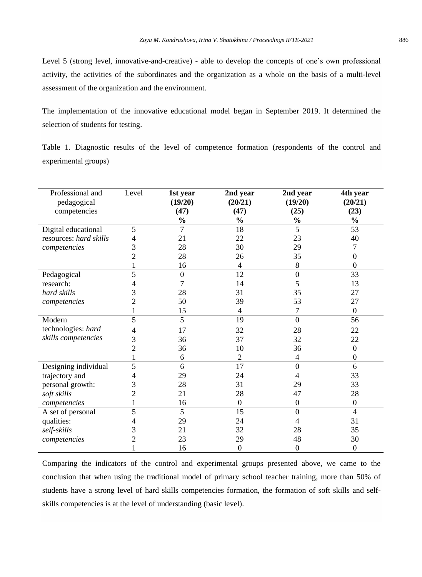Level 5 (strong level, innovative-and-creative) - able to develop the concepts of one's own professional activity, the activities of the subordinates and the organization as a whole on the basis of a multi-level assessment of the organization and the environment.

The implementation of the innovative educational model began in September 2019. It determined the selection of students for testing.

Table 1. Diagnostic results of the level of competence formation (respondents of the control and experimental groups)

| Professional and<br>pedagogical<br>competencies | Level | 1st year<br>(19/20)<br>(47)<br>$\frac{0}{0}$ | 2nd year<br>(20/21)<br>(47)<br>$\frac{0}{0}$ | 2nd year<br>(19/20)<br>(25)<br>$\frac{0}{0}$ | 4th year<br>(20/21)<br>(23)<br>$\frac{0}{0}$ |
|-------------------------------------------------|-------|----------------------------------------------|----------------------------------------------|----------------------------------------------|----------------------------------------------|
| Digital educational                             | 5     | 7                                            | 18                                           | 5                                            | 53                                           |
| resources: hard skills                          | 4     | 21                                           | 22                                           | 23                                           | 40                                           |
| competencies                                    | 3     | 28                                           | 30                                           | 29                                           | 7                                            |
|                                                 | 2     | 28                                           | 26                                           | 35                                           | $\boldsymbol{0}$                             |
|                                                 |       | 16                                           | $\overline{4}$                               | 8                                            | $\overline{0}$                               |
| Pedagogical                                     | 5     | $\boldsymbol{0}$                             | 12                                           | $\boldsymbol{0}$                             | 33                                           |
| research:                                       |       | 7                                            | 14                                           | 5                                            | 13                                           |
| hard skills                                     | 3     | 28                                           | 31                                           | 35                                           | 27                                           |
| competencies                                    | 2     | 50                                           | 39                                           | 53                                           | 27                                           |
|                                                 | 1     | 15                                           | 4                                            | 7                                            | $\Omega$                                     |
| Modern                                          | 5     | 5                                            | 19                                           | $\mathbf{0}$                                 | 56                                           |
| technologies: hard                              | 4     | 17                                           | 32                                           | 28                                           | 22                                           |
| skills competencies                             | 3     | 36                                           | 37                                           | 32                                           | 22                                           |
|                                                 | 2     | 36                                           | 10                                           | 36                                           | $\boldsymbol{0}$                             |
|                                                 |       | 6                                            | $\overline{2}$                               | 4                                            | $\mathbf{0}$                                 |
| Designing individual                            | 5     | 6                                            | 17                                           | $\Omega$                                     | 6                                            |
| trajectory and                                  | 4     | 29                                           | 24                                           | 4                                            | 33                                           |
| personal growth:                                | 3     | 28                                           | 31                                           | 29                                           | 33                                           |
| soft skills                                     | 2     | 21                                           | 28                                           | 47                                           | 28                                           |
| competencies                                    |       | 16                                           | $\mathbf{0}$                                 | $\mathbf{0}$                                 | $\overline{0}$                               |
| A set of personal                               | 5     | 5                                            | 15                                           | $\Omega$                                     | $\overline{4}$                               |
| qualities:                                      | 4     | 29                                           | 24                                           | 4                                            | 31                                           |
| self-skills                                     | 3     | 21                                           | 32                                           | 28                                           | 35                                           |
| competencies                                    | 2     | 23                                           | 29                                           | 48                                           | 30                                           |
|                                                 |       | 16                                           | $\mathbf{0}$                                 | $\mathbf{0}$                                 | $\overline{0}$                               |

Comparing the indicators of the control and experimental groups presented above, we came to the conclusion that when using the traditional model of primary school teacher training, more than 50% of students have a strong level of hard skills competencies formation, the formation of soft skills and selfskills competencies is at the level of understanding (basic level).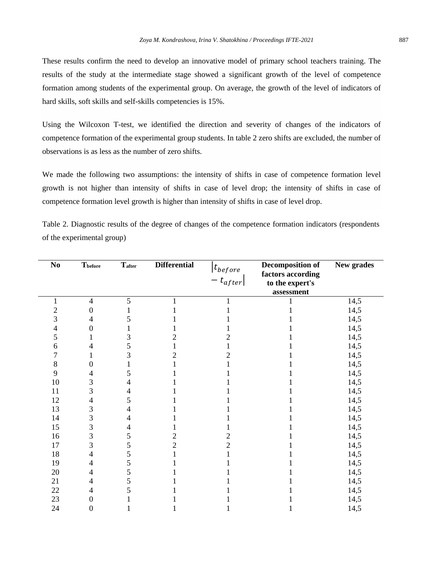These results confirm the need to develop an innovative model of primary school teachers training. The results of the study at the intermediate stage showed a significant growth of the level of competence formation among students of the experimental group. On average, the growth of the level of indicators of hard skills, soft skills and self-skills competencies is 15%.

Using the Wilcoxon T-test, we identified the direction and severity of changes of the indicators of competence formation of the experimental group students. In table 2 zero shifts are excluded, the number of observations is as less as the number of zero shifts.

We made the following two assumptions: the intensity of shifts in case of competence formation level growth is not higher than intensity of shifts in case of level drop; the intensity of shifts in case of competence formation level growth is higher than intensity of shifts in case of level drop.

| No             | Thefore          | Tafter         | <b>Differential</b> | $ t_{before} $<br>$ t_{after\vert}$ | Decomposition of<br>factors according<br>to the expert's | New grades |
|----------------|------------------|----------------|---------------------|-------------------------------------|----------------------------------------------------------|------------|
|                |                  |                |                     |                                     | assessment                                               |            |
| 1              | $\overline{4}$   | 5              | 1                   |                                     | 1                                                        | 14,5       |
| $\overline{c}$ | $\boldsymbol{0}$ | 1              |                     |                                     |                                                          | 14,5       |
| 3              | 4                | 5              |                     |                                     |                                                          | 14,5       |
| 4              | $\theta$         |                |                     |                                     |                                                          | 14,5       |
| 5              |                  | 3              | 2                   | 2                                   |                                                          | 14,5       |
| 6              | 4                | 5              |                     |                                     |                                                          | 14,5       |
| 7              | 1                | 3              | 2                   | 2                                   |                                                          | 14,5       |
| 8              | $\overline{0}$   |                |                     |                                     |                                                          | 14,5       |
| 9              | 4                | 5              |                     |                                     |                                                          | 14,5       |
| 10             | 3                | 4              |                     |                                     |                                                          | 14,5       |
| 11             | 3                | 4              |                     |                                     |                                                          | 14,5       |
| 12             | 4                | 5              |                     |                                     |                                                          | 14,5       |
| 13             | 3                | $\overline{4}$ |                     |                                     |                                                          | 14,5       |
| 14             | 3                | 4              |                     |                                     |                                                          | 14,5       |
| 15             | 3                | 4              |                     |                                     |                                                          | 14,5       |
| 16             | 3                | 5              | 2                   | 2                                   |                                                          | 14,5       |
| 17             | 3                | 5              | 2                   | 2                                   |                                                          | 14,5       |
| 18             | 4                | 5              |                     |                                     |                                                          | 14,5       |
| 19             | 4                | 5              |                     |                                     |                                                          | 14,5       |
| 20             | 4                | 5              |                     |                                     |                                                          | 14,5       |
| 21             | 4                | 5              |                     |                                     |                                                          | 14,5       |
| 22             | 4                | 5              |                     |                                     |                                                          | 14,5       |
| 23             | $\overline{0}$   |                |                     |                                     |                                                          | 14,5       |
| 24             | $\overline{0}$   |                |                     |                                     |                                                          | 14,5       |

Table 2. Diagnostic results of the degree of changes of the competence formation indicators (respondents of the experimental group)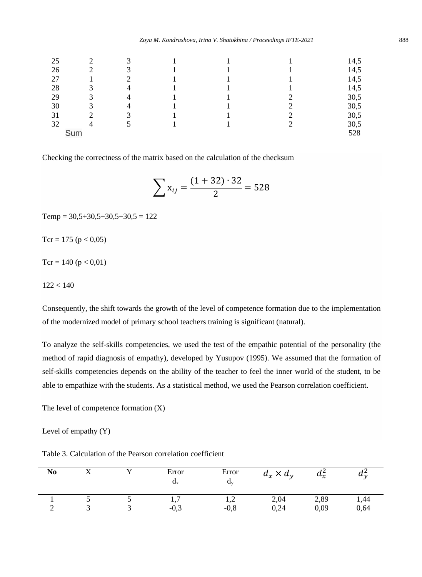*Zoya M. Kondrashova, Irina V. Shatokhina / Proceedings IFTE-2021* 888

| 25 |     |  |  | 14,5 |
|----|-----|--|--|------|
| 26 |     |  |  | 14,5 |
| 27 |     |  |  | 14,5 |
| 28 |     |  |  | 14,5 |
| 29 |     |  |  | 30,5 |
| 30 |     |  |  | 30,5 |
| 31 |     |  |  | 30,5 |
| 32 |     |  |  | 30,5 |
|    | Sum |  |  | 528  |
|    |     |  |  |      |

Checking the correctness of the matrix based on the calculation of the checksum

$$
\sum x_{ij} = \frac{(1+32)\cdot 32}{2} = 528
$$

 $Temp = 30,5+30,5+30,5+30,5 = 122$ 

Tcr = 175 ( $p < 0.05$ )

Tcr = 140 ( $p < 0.01$ )

 $122 < 140$ 

Consequently, the shift towards the growth of the level of competence formation due to the implementation of the modernized model of primary school teachers training is significant (natural).

To analyze the self-skills competencies, we used the test of the empathic potential of the personality (the method of rapid diagnosis of empathy), developed by Yusupov (1995). We assumed that the formation of self-skills competencies depends on the ability of the teacher to feel the inner world of the student, to be able to empathize with the students. As a statistical method, we used the Pearson correlation coefficient.

The level of competence formation (X)

Level of empathy (Y)

Table 3. Calculation of the Pearson correlation coefficient

| N <sub>0</sub> |  | Error<br>$a_{x}$ | Error<br>$a_{v}$ | $d_x \times d_y$ | $d_x^2$ | $u_{\gamma}$ |
|----------------|--|------------------|------------------|------------------|---------|--------------|
|                |  | 1,1              | ء,               | 2,04             | 2,89    | 1,44         |
|                |  | $-0.3$           | $-0.8$           | 0,24             | 0,09    | 0,64         |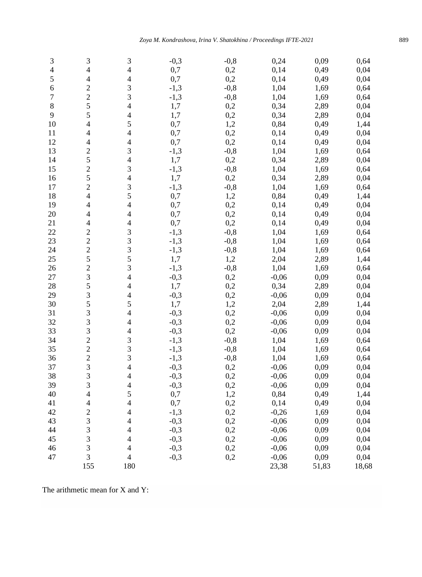| 3   | 3                        | 3              | $-0,3$ | $-0,8$     | 0,24    | 0,09  | 0,64 |
|-----|--------------------------|----------------|--------|------------|---------|-------|------|
| 4   | $\overline{\mathcal{L}}$ | $\overline{4}$ | 0,7    | 0,2        | 0,14    | 0,49  | 0,04 |
| 5   | 4                        | 4              | 0,7    | 0,2        | 0,14    | 0,49  | 0,04 |
| 6   | $\overline{2}$           | 3              | $-1,3$ | $-0,8$     | 1,04    | 1,69  | 0,64 |
| 7   | $\overline{2}$           | 3              | $-1,3$ | $-0,8$     | 1,04    | 1,69  | 0,64 |
| 8   | 5                        | 4              | 1,7    | 0,2        | 0,34    | 2,89  | 0,04 |
| 9   | 5                        | 4              | 1,7    | 0,2        | 0,34    | 2,89  | 0,04 |
| 10  | $\overline{\mathcal{L}}$ | 5              | 0,7    | 1,2        | 0,84    | 0,49  | 1,44 |
| 11  | $\overline{\mathcal{L}}$ | $\overline{4}$ | 0,7    | 0,2        | 0,14    | 0,49  | 0,04 |
| 12  | 4                        | $\overline{4}$ | 0,7    | 0,2        | 0,14    | 0,49  | 0,04 |
| 13  | $\overline{2}$           | 3              | $-1,3$ | $-0,8$     | 1,04    | 1,69  | 0,64 |
| 14  | 5                        | $\overline{4}$ | 1,7    | 0,2        | 0,34    | 2,89  | 0,04 |
| 15  | $\overline{c}$           | 3              | $-1,3$ | $-0,8$     | 1,04    | 1,69  | 0,64 |
| 16  | 5                        | $\overline{4}$ | 1,7    | 0,2        | 0,34    | 2,89  | 0,04 |
| 17  | $\overline{c}$           | 3              | $-1,3$ | $-0,8$     | 1,04    | 1,69  | 0,64 |
| 18  | 4                        | 5              | 0,7    | 1,2        | 0,84    | 0,49  | 1,44 |
| 19  | 4                        | 4              | 0,7    | 0,2        | 0,14    | 0,49  | 0,04 |
| 20  | 4                        | 4              | 0,7    | 0,2        | 0,14    | 0,49  | 0,04 |
| 21  | 4                        | 4              | 0,7    | 0,2        | 0,14    | 0,49  | 0,04 |
| 22  | $\overline{c}$           | 3              | $-1,3$ | $-0,8$     | 1,04    | 1,69  | 0,64 |
| 23  | $\overline{c}$           | 3              | $-1,3$ | $-0,8$     | 1,04    | 1,69  | 0,64 |
| 24  | $\overline{c}$           | 3              | $-1,3$ | $-0,8$     | 1,04    | 1,69  | 0,64 |
| 25  | 5                        | 5              | 1,7    | 1,2        | 2,04    | 2,89  | 1,44 |
| 26  | $\overline{c}$           | 3              | $-1,3$ | $-0,8$     | 1,04    | 1,69  | 0,64 |
| 27  | 3                        | 4              | $-0,3$ | 0,2        | $-0,06$ | 0,09  | 0,04 |
| 28  | 5                        | 4              | 1,7    | 0,2        | 0,34    | 2,89  | 0,04 |
| 29  | 3                        | 4              | $-0,3$ | 0,2        | $-0,06$ | 0,09  | 0,04 |
| 30  | 5                        | 5              | 1,7    | 1,2        | 2,04    | 2,89  | 1,44 |
| 31  | 3                        | 4              | $-0,3$ | 0,2        | $-0,06$ | 0,09  | 0,04 |
| 32  |                          |                |        |            |         |       |      |
| 33  | 3<br>3                   | 4              | $-0,3$ | 0,2<br>0,2 | $-0,06$ | 0,09  | 0,04 |
|     | $\overline{c}$           | 4              | $-0,3$ |            | $-0,06$ | 0,09  | 0,04 |
| 34  | $\overline{c}$           | 3              | $-1,3$ | $-0,8$     | 1,04    | 1,69  | 0,64 |
| 35  |                          | 3              | $-1,3$ | $-0,8$     | 1,04    | 1,69  | 0,64 |
| 36  | $\overline{c}$           | 3              | $-1,3$ | $-0,8$     | 1,04    | 1,69  | 0,64 |
| 37  | 3                        | $\overline{4}$ | $-0,3$ | 0,2        | $-0,06$ | 0,09  | 0,04 |
| 38  | 3                        | 4              | $-0,3$ | 0,2        | $-0,06$ | 0,09  | 0,04 |
| 39  | 3                        | 4              | $-0,3$ | 0,2        | $-0,06$ | 0,09  | 0,04 |
| 40  | 4                        | 5              | 0,7    | 1,2        | 0,84    | 0,49  | 1,44 |
| 41  | 4                        | $\overline{4}$ | 0,7    | 0,2        | 0,14    | 0,49  | 0,04 |
| 42  | $\overline{c}$           | $\overline{4}$ | $-1,3$ | 0,2        | $-0,26$ | 1,69  | 0,04 |
| 43  | 3                        | $\overline{4}$ | $-0,3$ | 0,2        | $-0,06$ | 0,09  | 0,04 |
| 44  | 3                        | $\overline{4}$ | $-0,3$ | 0,2        | $-0,06$ | 0,09  | 0,04 |
| 45  | 3                        | $\overline{4}$ | $-0,3$ | 0,2        | $-0,06$ | 0,09  | 0,04 |
| 46  | 3                        | $\overline{4}$ | $-0,3$ | 0,2        | $-0,06$ | 0,09  | 0,04 |
| 47  | 3                        | $\overline{4}$ | $-0,3$ | 0,2        | $-0,06$ | 0,09  | 0,04 |
| 155 | 180                      |                |        | 23,38      | 51,83   | 18,68 |      |

The arithmetic mean for X and Y: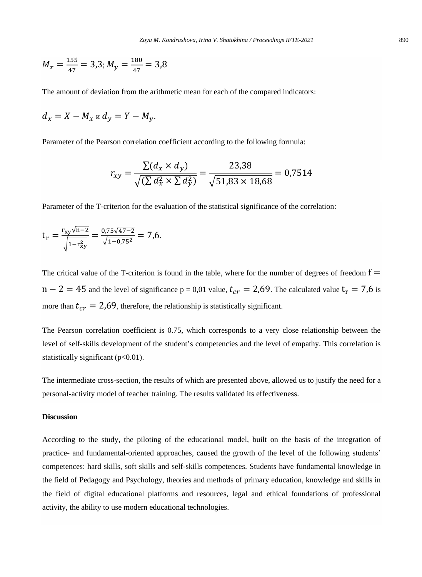$$
M_{\chi} = \frac{155}{47} = 3.3; M_{\gamma} = \frac{180}{47} = 3.8
$$

The amount of deviation from the arithmetic mean for each of the compared indicators:

$$
d_x = X - M_x u d_y = Y - M_y.
$$

Parameter of the Pearson correlation coefficient according to the following formula:

$$
r_{xy} = \frac{\sum (d_x \times d_y)}{\sqrt{(\sum d_x^2 \times \sum d_y^2)}} = \frac{23,38}{\sqrt{51,83 \times 18,68}} = 0,7514
$$

Parameter of the T-criterion for the evaluation of the statistical significance of the correlation:

$$
t_r = \frac{r_{xy}\sqrt{n-2}}{\sqrt{1-r_{xy}^2}} = \frac{0.75\sqrt{47-2}}{\sqrt{1-0.75^2}} = 7.6.
$$

The critical value of the T-criterion is found in the table, where for the number of degrees of freedom  $f =$  $n - 2 = 45$  and the level of significance p = 0,01 value,  $t_{cr} = 2.69$ . The calculated value  $t_r = 7.6$  is more than  $t_{cr} = 2.69$ , therefore, the relationship is statistically significant.

The Pearson correlation coefficient is 0.75, which corresponds to a very close relationship between the level of self-skills development of the student's competencies and the level of empathy. This correlation is statistically significant  $(p<0.01)$ .

The intermediate cross-section, the results of which are presented above, allowed us to justify the need for a personal-activity model of teacher training. The results validated its effectiveness.

# **Discussion**

According to the study, the piloting of the educational model, built on the basis of the integration of practice- and fundamental-oriented approaches, caused the growth of the level of the following students' competences: hard skills, soft skills and self-skills competences. Students have fundamental knowledge in the field of Pedagogy and Psychology, theories and methods of primary education, knowledge and skills in the field of digital educational platforms and resources, legal and ethical foundations of professional activity, the ability to use modern educational technologies.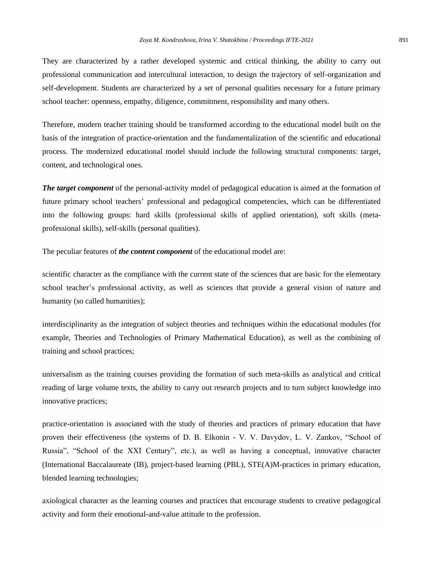They are characterized by a rather developed systemic and critical thinking, the ability to carry out professional communication and intercultural interaction, to design the trajectory of self-organization and self-development. Students are characterized by a set of personal qualities necessary for a future primary school teacher: openness, empathy, diligence, commitment, responsibility and many others.

Therefore, modern teacher training should be transformed according to the educational model built on the basis of the integration of practice-orientation and the fundamentalization of the scientific and educational process. The modernized educational model should include the following structural components: target, content, and technological ones.

*The target component* of the personal-activity model of pedagogical education is aimed at the formation of future primary school teachers' professional and pedagogical competencies, which can be differentiated into the following groups: hard skills (professional skills of applied orientation), soft skills (metaprofessional skills), self-skills (personal qualities).

The peculiar features of *the content component* of the educational model are:

scientific character as the compliance with the current state of the sciences that are basic for the elementary school teacher's professional activity, as well as sciences that provide a general vision of nature and humanity (so called humanities);

interdisciplinarity as the integration of subject theories and techniques within the educational modules (for example, Theories and Technologies of Primary Mathematical Education), as well as the combining of training and school practices;

universalism as the training courses providing the formation of such meta-skills as analytical and critical reading of large volume texts, the ability to carry out research projects and to turn subject knowledge into innovative practices;

practice-orientation is associated with the study of theories and practices of primary education that have proven their effectiveness (the systems of D. B. Elkonin - V. V. Davydov, L. V. Zankov, "School of Russia", "School of the XXI Century", etc.), as well as having a conceptual, innovative character (International Baccalaureate (IB), project-based learning (PBL), STE(A)M-practices in primary education, blended learning technologies;

axiological character as the learning courses and practices that encourage students to creative pedagogical activity and form their emotional-and-value attitude to the profession.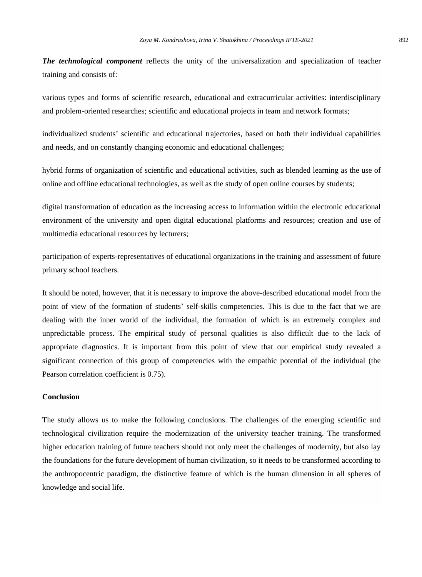*The technological component* reflects the unity of the universalization and specialization of teacher training and consists of:

various types and forms of scientific research, educational and extracurricular activities: interdisciplinary and problem-oriented researches; scientific and educational projects in team and network formats;

individualized students' scientific and educational trajectories, based on both their individual capabilities and needs, and on constantly changing economic and educational challenges;

hybrid forms of organization of scientific and educational activities, such as blended learning as the use of online and offline educational technologies, as well as the study of open online courses by students;

digital transformation of education as the increasing access to information within the electronic educational environment of the university and open digital educational platforms and resources; creation and use of multimedia educational resources by lecturers;

participation of experts-representatives of educational organizations in the training and assessment of future primary school teachers.

It should be noted, however, that it is necessary to improve the above-described educational model from the point of view of the formation of students' self-skills competencies. This is due to the fact that we are dealing with the inner world of the individual, the formation of which is an extremely complex and unpredictable process. The empirical study of personal qualities is also difficult due to the lack of appropriate diagnostics. It is important from this point of view that our empirical study revealed a significant connection of this group of competencies with the empathic potential of the individual (the Pearson correlation coefficient is 0.75).

# **Conclusion**

The study allows us to make the following conclusions. The challenges of the emerging scientific and technological civilization require the modernization of the university teacher training. The transformed higher education training of future teachers should not only meet the challenges of modernity, but also lay the foundations for the future development of human civilization, so it needs to be transformed according to the anthropocentric paradigm, the distinctive feature of which is the human dimension in all spheres of knowledge and social life.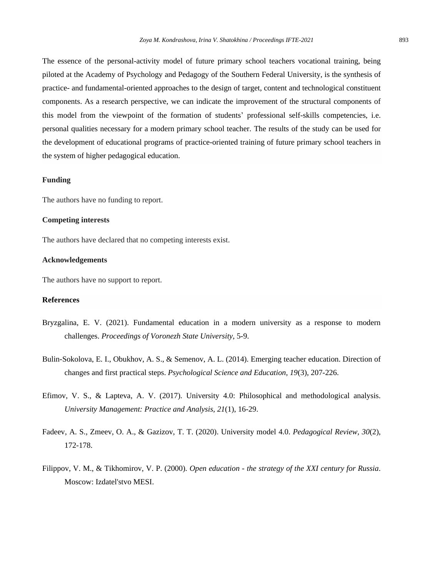The essence of the personal-activity model of future primary school teachers vocational training, being piloted at the Academy of Psychology and Pedagogy of the Southern Federal University, is the synthesis of practice- and fundamental-oriented approaches to the design of target, content and technological constituent components. As a research perspective, we can indicate the improvement of the structural components of this model from the viewpoint of the formation of students' professional self-skills competencies, i.e. personal qualities necessary for a modern primary school teacher. The results of the study can be used for the development of educational programs of practice-oriented training of future primary school teachers in the system of higher pedagogical education.

## **Funding**

The authors have no funding to report.

## **Competing interests**

The authors have declared that no competing interests exist.

#### **Acknowledgements**

The authors have no support to report.

## **References**

- Bryzgalina, E. V. (2021). Fundamental education in a modern university as a response to modern challenges. *Proceedings of Voronezh State University*, 5-9.
- Bulin-Sokolova, E. I., Obukhov, A. S., & Semenov, A. L. (2014). Emerging teacher education. Direction of changes and first practical steps. *Psychological Science and Education, 19*(3), 207-226.
- Efimov, V. S., & Lapteva, A. V. (2017). University 4.0: Philosophical and methodological analysis. *University Management: Practice and Analysis, 21*(1), 16-29.
- Fadeev, A. S., Zmeev, O. A., & Gazizov, T. T. (2020). University model 4.0. *Pedagogical Review, 30*(2), 172-178.
- Filippov, V. M., & Tikhomirov, V. P. (2000). *Open education - the strategy of the XXI century for Russia*. Moscow: Izdatel'stvo MESI.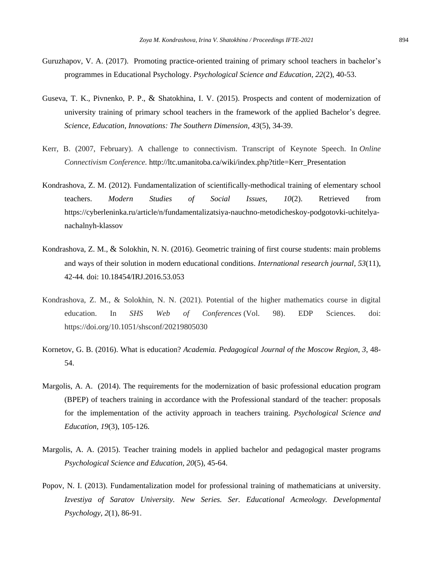- Guruzhapov, V. A. (2017). Promoting practice-oriented training of primary school teachers in bachelor's programmes in Educational Psychology. *Psychological Science and Education, 22*(2), 40-53.
- Guseva, T. K., Pivnenko, P. P., & Shatokhina, I. V. (2015). Prospects and content of modernization of university training of primary school teachers in the framework of the applied Bachelor's degree. *Science, Education, Innovations: The Southern Dimension, 43*(5), 34-39.
- Kerr, B. (2007, February). A challenge to connectivism. Transcript of Keynote Speech. In *Online Connectivism Conference.* http://ltc.umanitoba.ca/wiki/index.php?title=Kerr\_Presentation
- Kondrashova, Z. M. (2012). Fundamentalization of scientifically-methodical training of elementary school teachers. *Modern Studies of Social Issues, 10*(2). Retrieved from [https://cyberleninka.ru/article/n/fundamentalizatsiya-nauchno-metodicheskoy-podgotovki-uchitelya](https://cyberleninka.ru/article/n/fundamentalizatsiya-nauchno-metodicheskoy-podgotovki-uchitelya-nachalnyh-klassov)[nachalnyh-klassov](https://cyberleninka.ru/article/n/fundamentalizatsiya-nauchno-metodicheskoy-podgotovki-uchitelya-nachalnyh-klassov)
- Kondrashova, Z. M., & Solokhin, N. N. (2016). Geometric training of first course students: main problems and ways of their solution in modern educational conditions. *International research journal, 53*(11), 42-44*.* doi: 10.18454/IRJ.2016.53.053
- Kondrashova, Z. M., & Solokhin, N. N. (2021). Potential of the higher mathematics course in digital education. In *SHS Web of Conferences* (Vol. 98). EDP Sciences. doi: https://doi.org/10.1051/shsconf/20219805030
- Kornetov, G. B. (2016). What is education? *Academia. Pedagogical Journal of the Moscow Region, 3*, 48- 54.
- Margolis, A. A. (2014). The requirements for the modernization of basic professional education program (BPEP) of teachers training in accordance with the Professional standard of the teacher: proposals for the implementation of the activity approach in teachers training. *Psychological Science and Education, 19*(3), 105-126.
- Margolis, A. A. (2015). Teacher training models in applied bachelor and pedagogical master programs *Psychological Science and Education, 20*(5), 45-64.
- Popov, N. I. (2013). Fundamentalization model for professional training of mathematicians at university. *Izvestiya of Saratov University. New Series. Ser. Educational Acmeology. Developmental Psychology, 2*(1), 86-91.